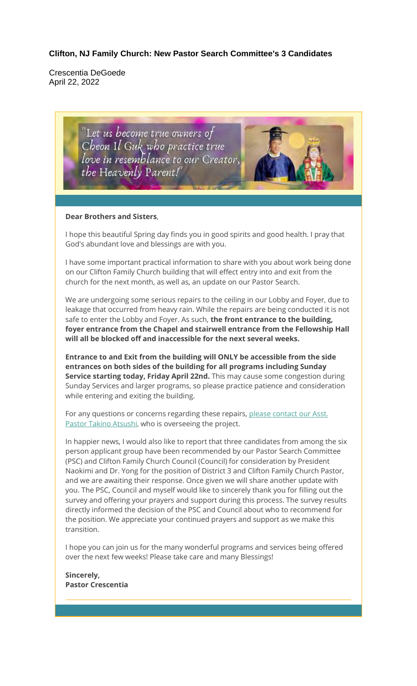#### **Clifton, NJ Family Church: New Pastor Search Committee's 3 Candidates**

Crescentia DeGoede April 22, 2022

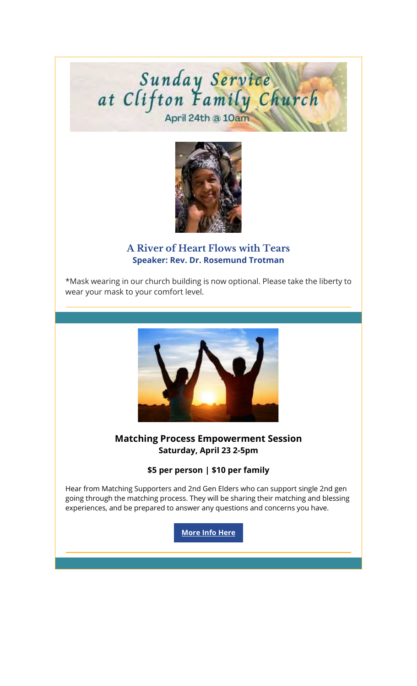# Sunday Service<br>at Clifton Family Church



#### **A River of Heart Flows with Tears Speaker: Rev. Dr. Rosemund Trotman**

\*Mask wearing in our church building is now optional. Please take the liberty to wear your mask to your comfort level.



#### **Matching Process Empowerment Session Saturday, April 23 2-5pm**

#### **\$5 per person | \$10 per family**

Hear from Matching Supporters and 2nd Gen Elders who can support single 2nd gen going through the matching process. They will be sharing their matching and blessing experiences, and be prepared to answer any questions and concerns you have.

**More Info Here**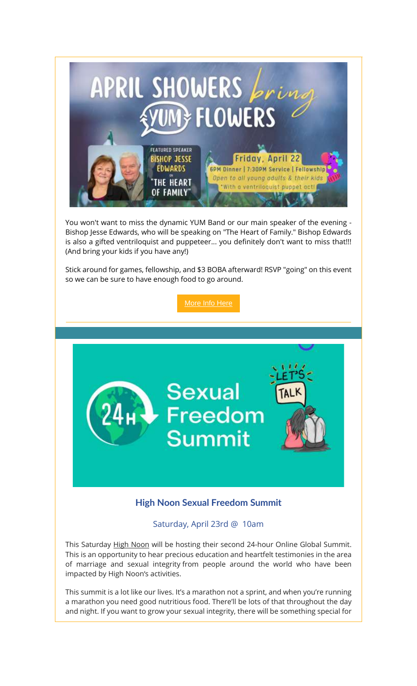

You won't want to miss the dynamic YUM Band or our main speaker of the evening - Bishop Jesse Edwards, who will be speaking on "The Heart of Family." Bishop Edwards is also a gifted ventriloquist and puppeteer... you definitely don't want to miss that!!! (And bring your kids if you have any!)

Stick around for games, fellowship, and \$3 BOBA afterward! RSVP "going" on this event so we can be sure to have enough food to go around.

More Info Here



## **High Noon Sexual Freedom Summit**

#### Saturday, April 23rd @ 10am

This Saturday High Noon will be hosting their second 24-hour Online Global Summit. This is an opportunity to hear precious education and heartfelt testimonies in the area of marriage and sexual integrity from people around the world who have been impacted by High Noon's activities.

This summit is a lot like our lives. It's a marathon not a sprint, and when you're running a marathon you need good nutritious food. There'll be lots of that throughout the day and night. If you want to grow your sexual integrity, there will be something special for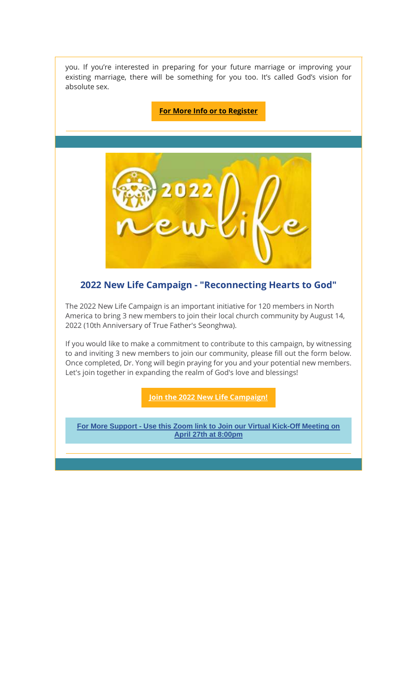you. If you're interested in preparing for your future marriage or improving your existing marriage, there will be something for you too. It's called God's vision for absolute sex.

**For More Info or to Register**



## **2022 New Life Campaign - "Reconnecting Hearts to God"**

The 2022 New Life Campaign is an important initiative for 120 members in North America to bring 3 new members to join their local church community by August 14, 2022 (10th Anniversary of True Father's Seonghwa).

If you would like to make a commitment to contribute to this campaign, by witnessing to and inviting 3 new members to join our community, please fill out the form below. Once completed, Dr. Yong will begin praying for you and your potential new members. Let's join together in expanding the realm of God's love and blessings!

**Join the 2022 New Life Campaign!**

**For More Support - Use this Zoom link to Join our Virtual Kick-Off Meeting on April 27th at 8:00pm**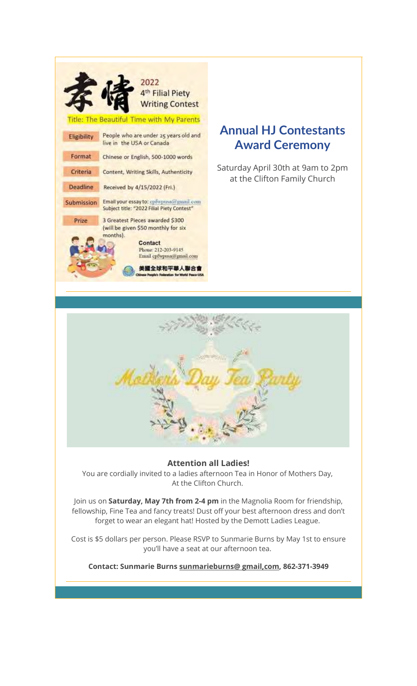

# **Annual HJ Contestants Award Ceremony**

Saturday April 30th at 9am to 2pm at the Clifton Family Church



#### **Attention all Ladies!**

You are cordially invited to a ladies afternoon Tea in Honor of Mothers Day, At the Clifton Church.

Join us on **Saturday, May 7th from 2-4 pm** in the Magnolia Room for friendship, fellowship, Fine Tea and fancy treats! Dust off your best afternoon dress and don't forget to wear an elegant hat! Hosted by the Demott Ladies League.

Cost is \$5 dollars per person. Please RSVP to Sunmarie Burns by May 1st to ensure you'll have a seat at our afternoon tea.

**Contact: Sunmarie Burns sunmarieburns@ gmail,com, 862-371-3949**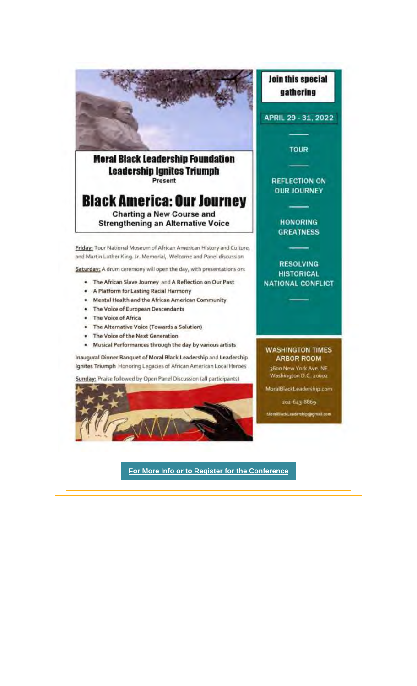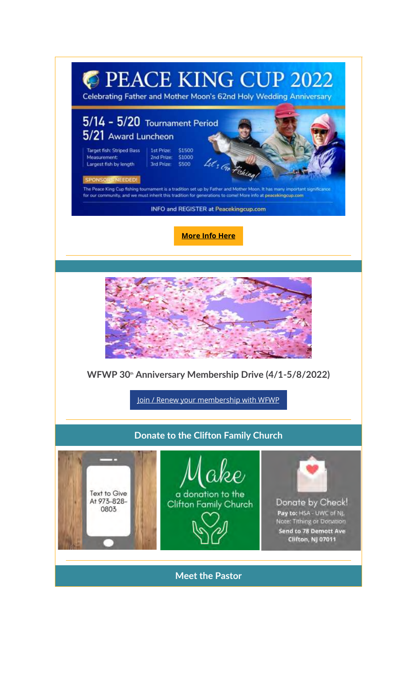